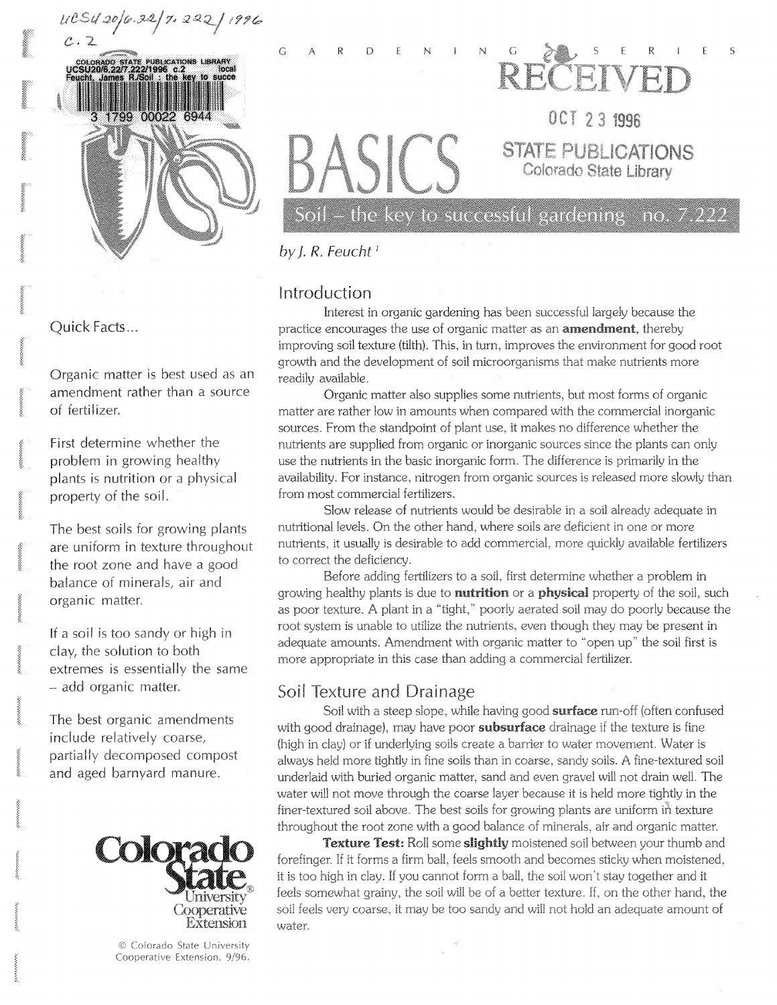

OCT 23 1996 **STATE PUBLICATIONS** Colorado State Library

Soil – the key to successful gardening  $\,$  no. 7.222  $\,$ 

*by J. R. Feucht<sup>1</sup>*

**GARDENIN G** 

# Introduction

Interest in organic gardening has been successful largely because the practice encourages the use of organic matter as an **amendment**, thereby improving soil texture (tilth). This, in turn, improves the environment for good root growth and the development of soil microorganisms that make nutrients more readily available.

Organic matter also supplies some nutrients, but most forms of organic matter are rather low in amounts when compared with the commercial inorganic sources. From the standpoint of plant use, it makes no difference whether the nutrients are supplied from organic or inorganic sources since the plants can only use the nutrients in the basic inorganic form. The difference is primarily in the availability. For instance, nitrogen from organic sources is released more slowly than from most commercial fertilizers.

Slow release of nutrients would be desirable in a soil already adequate in nutritional levels. On the other hand, where soils are deficient in one or more nutrients, it usually is desirable to add commercial, more quickly available fertilizers to correct the deficiency.

Before adding fertilizers to a soil, first determine whether a problem in growing healthy plants is due to **nutrition** or a **physical** property of the soil, such as poor texture. A plant in a "tight," poorly aerated soil may do poorly because the root system is unable to utilize the nutrients, even though they may be present in adequate amounts. Amendment with organic matter to "open up" the soil first is more appropriate in this case than adding a commercial fertilizer.

# Soil Texture and Drainage

Soil with a steep slope, while having good surface run-off (often confused with good drainage), may have poor **subsurface** drainage if the texture is fine (high in clay) or if underlying soils create a barrier to water movement. Water is always held more tightly in fine soils than in coarse, sandy soils. A fine-textured soil underlaid with buried organic matter, sand and even gravel will not drain well. The water will not move through the coarse layer because it is held more tightly in the finer-textured soil above. The best soils for growing plants are uniform in texture throughout the root zone with a good balance of minerals, air and organic matter.

Texture Test: Roll some slightly moistened soil between your thumb and forefinger. If it forms a firm ball, feels smooth and becomes sticky when moistened, it is too high in clay. If you cannot form a ball, the soil won't stay together and it feels somewhat grainy, the soil will be of a better texture. If, on the other hand, the soil feels very coarse, it may be too sandy and will not hold an adequate amount of water.

**Quick** Facts...

Organic matter is best used as an amendment rather than a source of fertilizer.

First determine whether the problem in growing healthy plants is nutrition or a physical property of the soil.

The best soils for growing plants are uniform in texture throughout the root zone and have a good balance of minerals, air and organic matter.

If a soil is too sandy or high in clay, the solution to both extremes is essentially the same - add organic matter.

The best organic amendments include relatively coarse, partially decomposed compost and aged barnyard manure.



**© Colorado State** University Cooperative Extension. **9/96.**